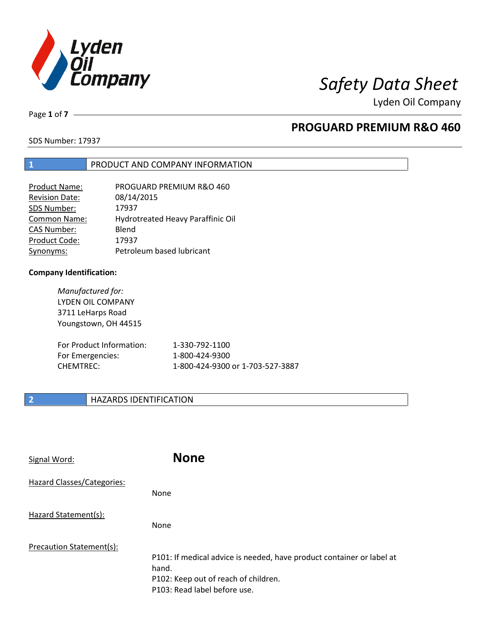

Lyden Oil Company

Page **1** of **7**

# **PROGUARD PREMIUM R&O 460**

SDS Number: 17937

### **1** PRODUCT AND COMPANY INFORMATION

| Product Name:         | PROGUARD PREMIUM R&O 460          |
|-----------------------|-----------------------------------|
| <b>Revision Date:</b> | 08/14/2015                        |
| SDS Number:           | 17937                             |
| <b>Common Name:</b>   | Hydrotreated Heavy Paraffinic Oil |
| <b>CAS Number:</b>    | Blend                             |
| Product Code:         | 17937                             |
| Synonyms:             | Petroleum based lubricant         |

#### **Company Identification:**

*Manufactured for:*  LYDEN OIL COMPANY 3711 LeHarps Road Youngstown, OH 44515

| For Product Information: | 1-330-792-1100                   |
|--------------------------|----------------------------------|
| For Emergencies:         | 1-800-424-9300                   |
| CHEMTREC:                | 1-800-424-9300 or 1-703-527-3887 |

### **2 HAZARDS IDENTIFICATION**

| Signal Word:               | <b>None</b>                                                                                                                                            |
|----------------------------|--------------------------------------------------------------------------------------------------------------------------------------------------------|
| Hazard Classes/Categories: | <b>None</b>                                                                                                                                            |
| Hazard Statement(s):       | <b>None</b>                                                                                                                                            |
| Precaution Statement(s):   | P101: If medical advice is needed, have product container or label at<br>hand.<br>P102: Keep out of reach of children.<br>P103: Read label before use. |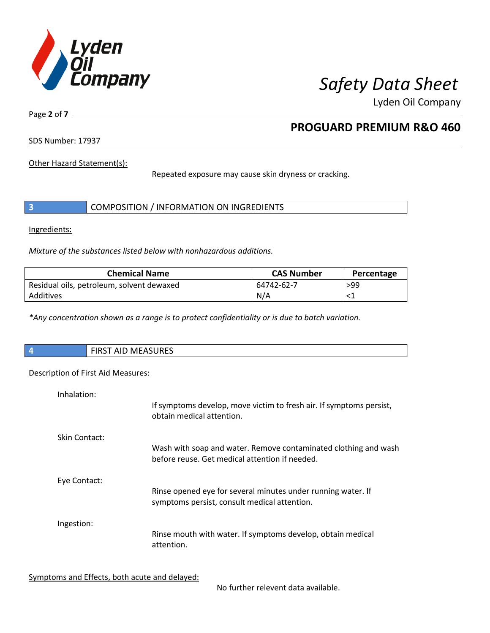

Lyden Oil Company

Page **2** of **7**

# **PROGUARD PREMIUM R&O 460**

SDS Number: 17937

Other Hazard Statement(s):

Repeated exposure may cause skin dryness or cracking.

|  | COMPOSITION / INFORMATION ON INGREDIENTS |  |
|--|------------------------------------------|--|
|--|------------------------------------------|--|

Ingredients:

*Mixture of the substances listed below with nonhazardous additions.* 

| <b>Chemical Name</b>                      | <b>CAS Number</b> | Percentage |
|-------------------------------------------|-------------------|------------|
| Residual oils, petroleum, solvent dewaxed | 64742-62-7        | >99        |
| Additives                                 | N/A               |            |

*\*Any concentration shown as a range is to protect confidentiality or is due to batch variation.*

| $\vert$ 4 | <b>MACACLIDEC</b><br>F R R<br><b>I AID MEASURES</b><br> |
|-----------|---------------------------------------------------------|
|           |                                                         |

### Description of First Aid Measures:

| Inhalation:   | If symptoms develop, move victim to fresh air. If symptoms persist,<br>obtain medical attention.                  |
|---------------|-------------------------------------------------------------------------------------------------------------------|
| Skin Contact: | Wash with soap and water. Remove contaminated clothing and wash<br>before reuse. Get medical attention if needed. |
| Eye Contact:  | Rinse opened eye for several minutes under running water. If<br>symptoms persist, consult medical attention.      |
| Ingestion:    | Rinse mouth with water. If symptoms develop, obtain medical<br>attention.                                         |

Symptoms and Effects, both acute and delayed:

No further relevent data available.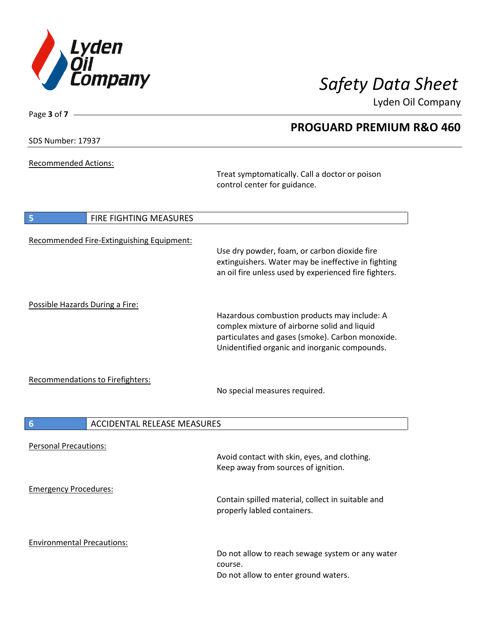

Lyden Oil Company

SDS Number: 17937

Page **3** of **7**

Recommended Actions:

Treat symptomatically. Call a doctor or poison control center for guidance.

| 5                                 | FIRE FIGHTING MEASURES                    |                                                                                                                                                                                                   |
|-----------------------------------|-------------------------------------------|---------------------------------------------------------------------------------------------------------------------------------------------------------------------------------------------------|
|                                   | Recommended Fire-Extinguishing Equipment: | Use dry powder, foam, or carbon dioxide fire<br>extinguishers. Water may be ineffective in fighting<br>an oil fire unless used by experienced fire fighters.                                      |
| Possible Hazards During a Fire:   |                                           | Hazardous combustion products may include: A<br>complex mixture of airborne solid and liquid<br>particulates and gases (smoke). Carbon monoxide.<br>Unidentified organic and inorganic compounds. |
|                                   | Recommendations to Firefighters:          | No special measures required.                                                                                                                                                                     |
| $6\phantom{1}6$                   | <b>ACCIDENTAL RELEASE MEASURES</b>        |                                                                                                                                                                                                   |
| <b>Personal Precautions:</b>      |                                           | Avoid contact with skin, eyes, and clothing.<br>Keep away from sources of ignition.                                                                                                               |
| <b>Emergency Procedures:</b>      |                                           | Contain spilled material, collect in suitable and<br>properly labled containers.                                                                                                                  |
| <b>Environmental Precautions:</b> |                                           | Do not allow to reach sewage system or any water<br>course.<br>Do not allow to enter ground waters.                                                                                               |

# **PROGUARD PREMIUM R&O 460**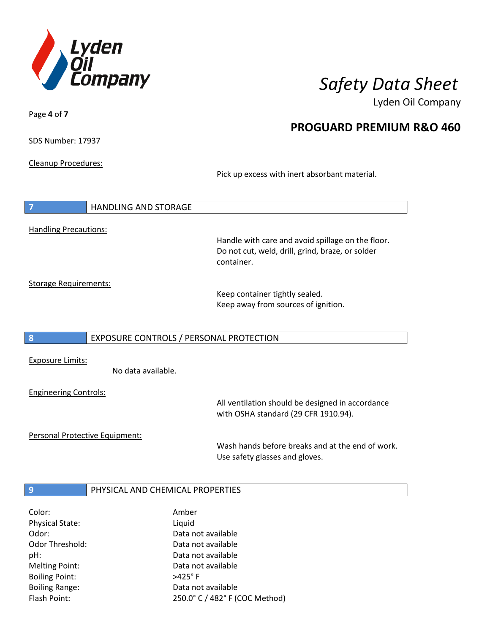

**PROGUARD PREMIUM R&O 460** 

Lyden Oil Company

SDS Number: 17937

Page **4** of **7**

Cleanup Procedures:

Pick up excess with inert absorbant material.

**7** HANDLING AND STORAGE Handling Precautions: Handle with care and avoid spillage on the floor. Do not cut, weld, drill, grind, braze, or solder container. Storage Requirements:

Keep container tightly sealed. Keep away from sources of ignition.

#### **8** EXPOSURE CONTROLS / PERSONAL PROTECTION

Exposure Limits:

No data available.

Engineering Controls:

All ventilation should be designed in accordance with OSHA standard (29 CFR 1910.94).

Personal Protective Equipment:

Wash hands before breaks and at the end of work. Use safety glasses and gloves.

### **9 PHYSICAL AND CHEMICAL PROPERTIES**

| Color:                 | Amber                          |
|------------------------|--------------------------------|
| <b>Physical State:</b> | Liquid                         |
| Odor:                  | Data not available             |
| Odor Threshold:        | Data not available             |
| pH:                    | Data not available             |
| <b>Melting Point:</b>  | Data not available             |
| <b>Boiling Point:</b>  | $>425^\circ$ F                 |
| <b>Boiling Range:</b>  | Data not available             |
| Flash Point:           | 250.0° C / 482° F (COC Method) |
|                        |                                |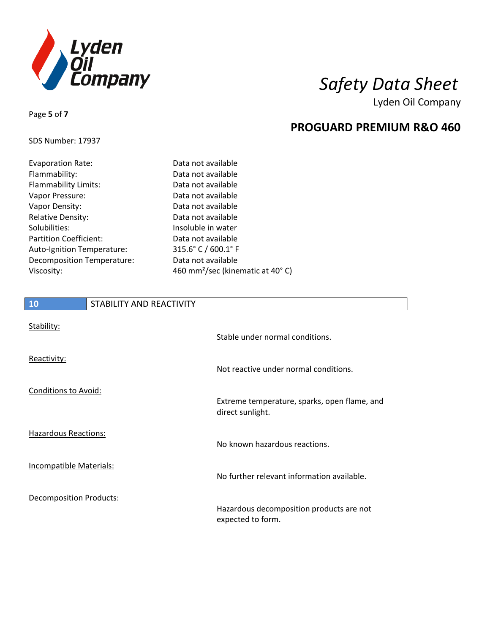

**PROGUARD PREMIUM R&O 460** 

Lyden Oil Company

### SDS Number: 17937

Page **5** of **7**

| Data not available                           |
|----------------------------------------------|
| Data not available                           |
| Data not available                           |
| Data not available                           |
| Data not available                           |
| Data not available                           |
| Insoluble in water                           |
| Data not available                           |
| $315.6^{\circ}$ C / 600.1° F                 |
| Data not available                           |
| 460 mm <sup>2</sup> /sec (kinematic at 40°C) |
|                                              |

# **10** STABILITY AND REACTIVITY

| Stability:                     | Stable under normal conditions.                                  |
|--------------------------------|------------------------------------------------------------------|
| Reactivity:                    | Not reactive under normal conditions.                            |
| Conditions to Avoid:           | Extreme temperature, sparks, open flame, and<br>direct sunlight. |
| Hazardous Reactions:           | No known hazardous reactions.                                    |
| Incompatible Materials:        | No further relevant information available.                       |
| <b>Decomposition Products:</b> | Hazardous decomposition products are not<br>expected to form.    |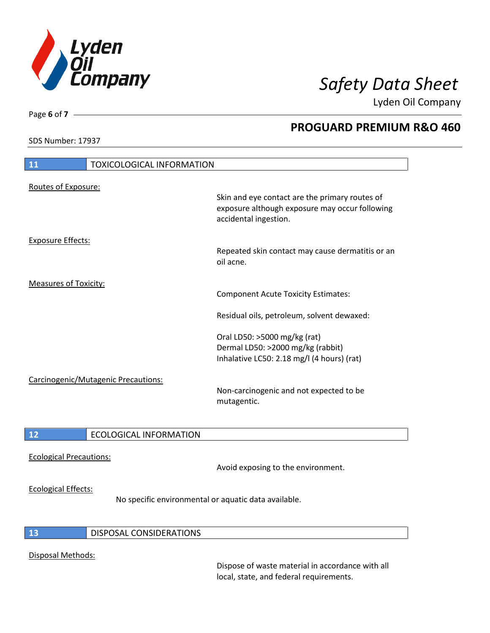

Lyden Oil Company

SDS Number: 17937

Page **6** of **7**

# **PROGUARD PREMIUM R&O 460**

| 11                           | <b>TOXICOLOGICAL INFORMATION</b>    |                                                                                                                                                                           |
|------------------------------|-------------------------------------|---------------------------------------------------------------------------------------------------------------------------------------------------------------------------|
| Routes of Exposure:          |                                     | Skin and eye contact are the primary routes of<br>exposure although exposure may occur following<br>accidental ingestion.                                                 |
| <b>Exposure Effects:</b>     |                                     | Repeated skin contact may cause dermatitis or an<br>oil acne.                                                                                                             |
| <b>Measures of Toxicity:</b> |                                     | <b>Component Acute Toxicity Estimates:</b><br>Residual oils, petroleum, solvent dewaxed:                                                                                  |
|                              | Carcinogenic/Mutagenic Precautions: | Oral LD50: >5000 mg/kg (rat)<br>Dermal LD50: >2000 mg/kg (rabbit)<br>Inhalative LC50: 2.18 mg/l (4 hours) (rat)<br>Non-carcinogenic and not expected to be<br>mutagentic. |
| 12                           | <b>ECOLOGICAL INFORMATION</b>       |                                                                                                                                                                           |

# Ecological Precautions:

Avoid exposing to the environment.

#### Ecological Effects:

No specific environmental or aquatic data available.

#### **13** DISPOSAL CONSIDERATIONS

#### Disposal Methods:

Dispose of waste material in accordance with all local, state, and federal requirements.